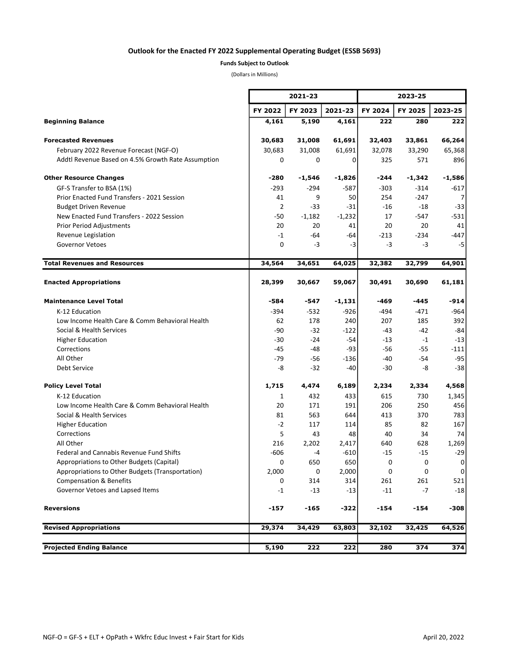## Outlook for the Enacted FY 2022 Supplemental Operating Budget (ESSB 5693)

## Funds Subject to Outlook

(Dollars in Millions)

÷.

|                                                    |                | 2021-23  |          |         | 2023-25         |          |  |
|----------------------------------------------------|----------------|----------|----------|---------|-----------------|----------|--|
|                                                    | FY 2022        | FY 2023  | 2021-23  | FY 2024 | FY 2025         | 2023-25  |  |
| <b>Beginning Balance</b>                           | 4,161          | 5,190    | 4,161    | 222     | 280             | 222      |  |
| <b>Forecasted Revenues</b>                         | 30,683         | 31,008   | 61,691   | 32,403  | 33,861          | 66,264   |  |
| February 2022 Revenue Forecast (NGF-O)             | 30,683         | 31,008   | 61,691   | 32,078  | 33,290          | 65,368   |  |
| Addtl Revenue Based on 4.5% Growth Rate Assumption | 0              | 0        | 0        | 325     | 571             | 896      |  |
| <b>Other Resource Changes</b>                      | -280           | -1,546   | $-1,826$ | -244    | $-1,342$        | $-1,586$ |  |
| GF-S Transfer to BSA (1%)                          | $-293$         | -294     | $-587$   | $-303$  | $-314$          | -617     |  |
| Prior Enacted Fund Transfers - 2021 Session        | 41             | 9        | 50       | 254     | $-247$          | 7        |  |
| <b>Budget Driven Revenue</b>                       | $\overline{2}$ | $-33$    | $-31$    | $-16$   | $-18$           | $-33$    |  |
| New Enacted Fund Transfers - 2022 Session          | -50            | $-1,182$ | $-1,232$ | 17      | $-547$          | $-531$   |  |
| <b>Prior Period Adjustments</b>                    | 20             | 20       | 41       | 20      | 20              | 41       |  |
| Revenue Legislation                                | $-1$           | -64      | -64      | $-213$  | $-234$          | $-447$   |  |
| <b>Governor Vetoes</b>                             | 0              | -3       | -3       | $-3$    | -3              | $-5$     |  |
| <b>Total Revenues and Resources</b>                | 34,564         | 34,651   | 64,025   | 32,382  | 32,799          | 64,901   |  |
| <b>Enacted Appropriations</b>                      | 28,399         | 30,667   | 59,067   | 30,491  | 30,690          | 61,181   |  |
| <b>Maintenance Level Total</b>                     | -584           | -547     | $-1,131$ | -469    | $-445$          | $-914$   |  |
| K-12 Education                                     | $-394$         | $-532$   | $-926$   | -494    | $-471$          | $-964$   |  |
| Low Income Health Care & Comm Behavioral Health    | 62             | 178      | 240      | 207     | 185             | 392      |  |
| Social & Health Services                           | -90            | $-32$    | -122     | -43     | $-42$           | $-84$    |  |
| <b>Higher Education</b>                            | -30            | $-24$    | $-54$    | -13     | $-1$            | $-13$    |  |
| Corrections                                        | -45            | $-48$    | $-93$    | -56     | $-55$           | $-111$   |  |
| All Other                                          | -79            | $-56$    | $-136$   | -40     | $-54$           | -95      |  |
| Debt Service                                       | -8             | $-32$    | -40      | -30     | -8              | $-38$    |  |
| <b>Policy Level Total</b>                          | 1,715          | 4,474    | 6,189    | 2,234   | 2,334           | 4,568    |  |
| K-12 Education                                     | 1              | 432      | 433      | 615     | 730             | 1,345    |  |
| Low Income Health Care & Comm Behavioral Health    | 20             | 171      | 191      | 206     | 250             | 456      |  |
| Social & Health Services                           | 81             | 563      | 644      | 413     | 370             | 783      |  |
| <b>Higher Education</b>                            | $-2$           | 117      | 114      | 85      | 82              | 167      |  |
| Corrections                                        | 5              | 43       | 48       | 40      | 34              | 74       |  |
| All Other                                          | 216            | 2,202    | 2,417    | 640     | 628             | 1,269    |  |
| <b>Federal and Cannabis Revenue Fund Shifts</b>    | $-606$         | -4       | $-610$   | -15     | $-15$           | $-29$    |  |
| Appropriations to Other Budgets (Capital)          | 0              | 650      | 650      | 0       | 0               | 0        |  |
| Appropriations to Other Budgets (Transportation)   | 2,000          | 0        | 2,000    | 0       | 0               | 0        |  |
| <b>Compensation &amp; Benefits</b>                 | 0              | 314      | 314      | 261     | 261             | 521      |  |
| Governor Vetoes and Lapsed Items                   | $-1$           | $-13$    | $-13$    | $-11$   | -7              | $-18$    |  |
| <b>Reversions</b>                                  | $-157$         | -165     | -322     | -154    | $-154$          | $-308$   |  |
| <b>Revised Appropriations</b>                      | 29,374         | 34,429   | 63,803   | 32,102  | 32,425          | 64,526   |  |
| <b>Projected Ending Balance</b>                    | 5,190          |          |          | 280     | $\frac{1}{374}$ |          |  |
|                                                    |                | 222      | 222      |         |                 | 374      |  |